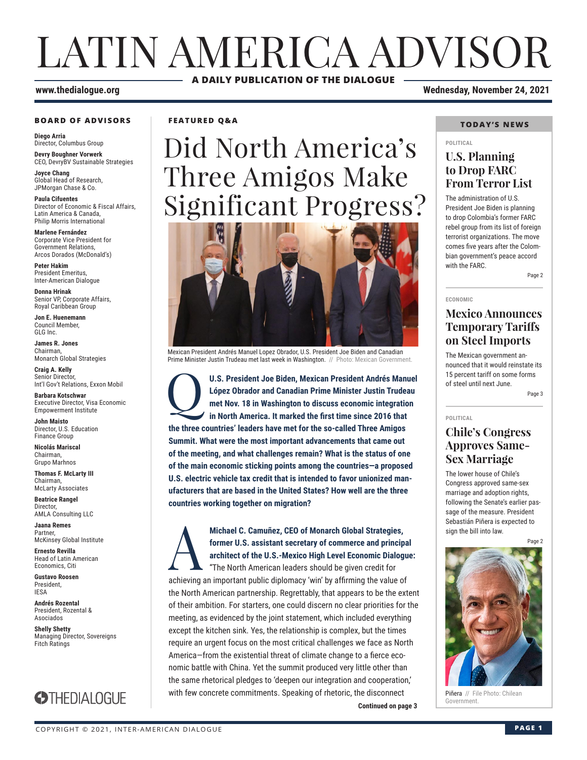# LATIN AMERICA ADVISOR **A DAILY PUBLICATION OF THE DIALOGUE**

### **www.thedialogue.org Wednesday, November 24, 2021**

### **BOARD OF ADVISORS**

**Diego Arria** Director, Columbus Group **Devry Boughner Vorwerk**

CEO, DevryBV Sustainable Strategies

**Joyce Chang** Global Head of Research, JPMorgan Chase & Co.

**Paula Cifuentes** Director of Economic & Fiscal Affairs, Latin America & Canada, Philip Morris International

**Marlene Fernández** Corporate Vice President for Government Relations, Arcos Dorados (McDonald's)

**Peter Hakim** President Emeritus, Inter-American Dialogue

**Donna Hrinak** Senior VP, Corporate Affairs, Royal Caribbean Group

**Jon E. Huenemann** Council Member, GLG Inc.

**James R. Jones** Chairman, Monarch Global Strategies

**Craig A. Kelly** Senior Director, Int'l Gov't Relations, Exxon Mobil

**Barbara Kotschwar** Executive Director, Visa Economic Empowerment Institute

**John Maisto** Director, U.S. Education Finance Group

**Nicolás Mariscal** Chairman, Grupo Marhnos

**Thomas F. McLarty III** Chairman, McLarty Associates

**Beatrice Rangel**  Director, AMLA Consulting LLC

**Jaana Remes** Partner, McKinsey Global Institute

**Ernesto Revilla**  Head of Latin American Economics, Citi

**Gustavo Roosen** President, IESA

**Andrés Rozental**  President, Rozental & Asociados

**Shelly Shetty** Managing Director, Sovereigns Fitch Ratings



**FEATURED Q&A**

# Did North America's Three Amigos Make Significant Progress?



Mexican President Andrés Manuel Lopez Obrador, U.S. President Joe Biden and Canadian Prime Minister Justin Trudeau met last week in Washington. // Photo: Mexican Government.

U.S. President Joe Biden, Mexican President Andrés Manuel<br>
López Obrador and Canadian Prime Minister Justin Trudeau<br>
met Nov. 18 in Washington to discuss economic integration<br>
in North America. It marked the first time sin **López Obrador and Canadian Prime Minister Justin Trudeau met Nov. 18 in Washington to discuss economic integration in North America. It marked the first time since 2016 that the three countries' leaders have met for the so-called Three Amigos Summit. What were the most important advancements that came out of the meeting, and what challenges remain? What is the status of one of the main economic sticking points among the countries—a proposed U.S. electric vehicle tax credit that is intended to favor unionized manufacturers that are based in the United States? How well are the three countries working together on migration?**

Michael C. Camuñez, CEO of Monarch Global Strategies,<br>former U.S. assistant secretary of commerce and princip<br>architect of the U.S.-Mexico High Level Economic Dialog<br>"The North American leaders should be given credit for **former U.S. assistant secretary of commerce and principal architect of the U.S.-Mexico High Level Economic Dialogue:**

**Continued on page 3 Continued on page 3** "The North American leaders should be given credit for achieving an important public diplomacy 'win' by affirming the value of the North American partnership. Regrettably, that appears to be the extent of their ambition. For starters, one could discern no clear priorities for the meeting, as evidenced by the joint statement, which included everything except the kitchen sink. Yes, the relationship is complex, but the times require an urgent focus on the most critical challenges we face as North America—from the existential threat of climate change to a fierce economic battle with China. Yet the summit produced very little other than the same rhetorical pledges to 'deepen our integration and cooperation,' with few concrete commitments. Speaking of rhetoric, the disconnect

### **TODAY'S NEWS**

#### **POLITICAL**

### **U.S. Planning to Drop FARC From Terror List**

The administration of U.S. President Joe Biden is planning to drop Colombia's former FARC rebel group from its list of foreign terrorist organizations. The move comes five years after the Colombian government's peace accord with the FARC.

Page 2

#### **ECONOMIC**

### **Mexico Announces Temporary Tariffs on Steel Imports**

The Mexican government announced that it would reinstate its 15 percent tariff on some forms of steel until next June.

Page 3

#### **POLITICAL**

### **Chile's Congress Approves Same-Sex Marriage**

The lower house of Chile's Congress approved same-sex marriage and adoption rights, following the Senate's earlier passage of the measure. President Sebastián Piñera is expected to sign the bill into law.

Page 2



Piñera // File Photo: Chilean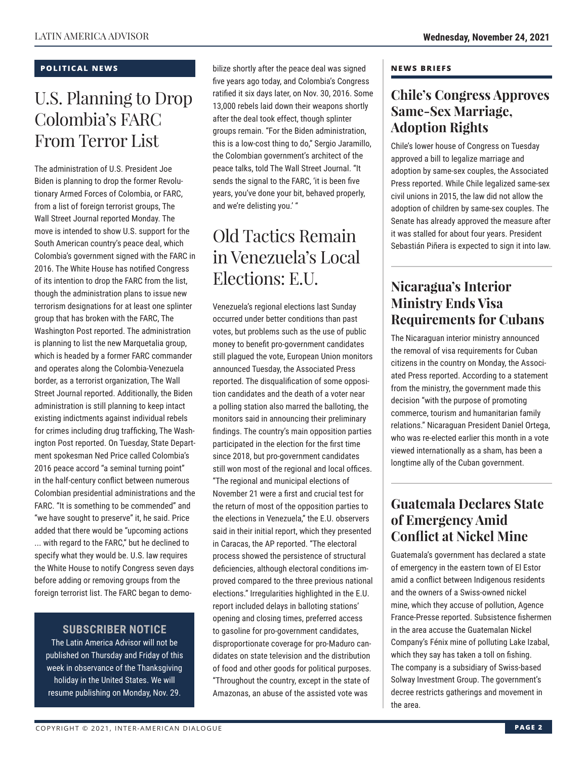### **POLITICAL NEWS**

# U.S. Planning to Drop Colombia's FARC From Terror List

The administration of U.S. President Joe Biden is planning to drop the former Revolutionary Armed Forces of Colombia, or FARC, from a list of foreign terrorist groups, The Wall Street Journal reported Monday. The move is intended to show U.S. support for the South American country's peace deal, which Colombia's government signed with the FARC in 2016. The White House has notified Congress of its intention to drop the FARC from the list, though the administration plans to issue new terrorism designations for at least one splinter group that has broken with the FARC, The Washington Post reported. The administration is planning to list the new Marquetalia group, which is headed by a former FARC commander and operates along the Colombia-Venezuela border, as a terrorist organization, The Wall Street Journal reported. Additionally, the Biden administration is still planning to keep intact existing indictments against individual rebels for crimes including drug trafficking, The Washington Post reported. On Tuesday, State Department spokesman Ned Price called Colombia's 2016 peace accord "a seminal turning point" in the half-century conflict between numerous Colombian presidential administrations and the FARC. "It is something to be commended" and "we have sought to preserve" it, he said. Price added that there would be "upcoming actions ... with regard to the FARC," but he declined to specify what they would be. U.S. law requires the White House to notify Congress seven days before adding or removing groups from the foreign terrorist list. The FARC began to demo-

### **SUBSCRIBER NOTICE**

The Latin America Advisor will not be published on Thursday and Friday of this week in observance of the Thanksgiving holiday in the United States. We will resume publishing on Monday, Nov. 29.

bilize shortly after the peace deal was signed five years ago today, and Colombia's Congress ratified it six days later, on Nov. 30, 2016. Some 13,000 rebels laid down their weapons shortly after the deal took effect, though splinter groups remain. "For the Biden administration, this is a low-cost thing to do," Sergio Jaramillo, the Colombian government's architect of the peace talks, told The Wall Street Journal. "It sends the signal to the FARC, 'it is been five years, you've done your bit, behaved properly, and we're delisting you.' "

# Old Tactics Remain in Venezuela's Local Elections: E.U.

Venezuela's regional elections last Sunday occurred under better conditions than past votes, but problems such as the use of public money to benefit pro-government candidates still plagued the vote, European Union monitors announced Tuesday, the Associated Press reported. The disqualification of some opposition candidates and the death of a voter near a polling station also marred the balloting, the monitors said in announcing their preliminary findings. The country's main opposition parties participated in the election for the first time since 2018, but pro-government candidates still won most of the regional and local offices. "The regional and municipal elections of November 21 were a first and crucial test for the return of most of the opposition parties to the elections in Venezuela," the E.U. observers said in their initial report, which they presented in Caracas, the AP reported. "The electoral process showed the persistence of structural deficiencies, although electoral conditions improved compared to the three previous national elections." Irregularities highlighted in the E.U. report included delays in balloting stations' opening and closing times, preferred access to gasoline for pro-government candidates, disproportionate coverage for pro-Maduro candidates on state television and the distribution of food and other goods for political purposes. "Throughout the country, except in the state of Amazonas, an abuse of the assisted vote was

### **NEWS BRIEFS**

### **Chile's Congress Approves Same-Sex Marriage, Adoption Rights**

Chile's lower house of Congress on Tuesday approved a bill to legalize marriage and adoption by same-sex couples, the Associated Press reported. While Chile legalized same-sex civil unions in 2015, the law did not allow the adoption of children by same-sex couples. The Senate has already approved the measure after it was stalled for about four years. President Sebastián Piñera is expected to sign it into law.

## **Nicaragua's Interior Ministry Ends Visa Requirements for Cubans**

The Nicaraguan interior ministry announced the removal of visa requirements for Cuban citizens in the country on Monday, the Associated Press reported. According to a statement from the ministry, the government made this decision "with the purpose of promoting commerce, tourism and humanitarian family relations." Nicaraguan President Daniel Ortega, who was re-elected earlier this month in a vote viewed internationally as a sham, has been a longtime ally of the Cuban government.

## **Guatemala Declares State of Emergency Amid Conflict at Nickel Mine**

Guatemala's government has declared a state of emergency in the eastern town of El Estor amid a conflict between Indigenous residents and the owners of a Swiss-owned nickel mine, which they accuse of pollution, Agence France-Presse reported. Subsistence fishermen in the area accuse the Guatemalan Nickel Company's Fénix mine of polluting Lake Izabal, which they say has taken a toll on fishing. The company is a subsidiary of Swiss-based Solway Investment Group. The government's decree restricts gatherings and movement in the area.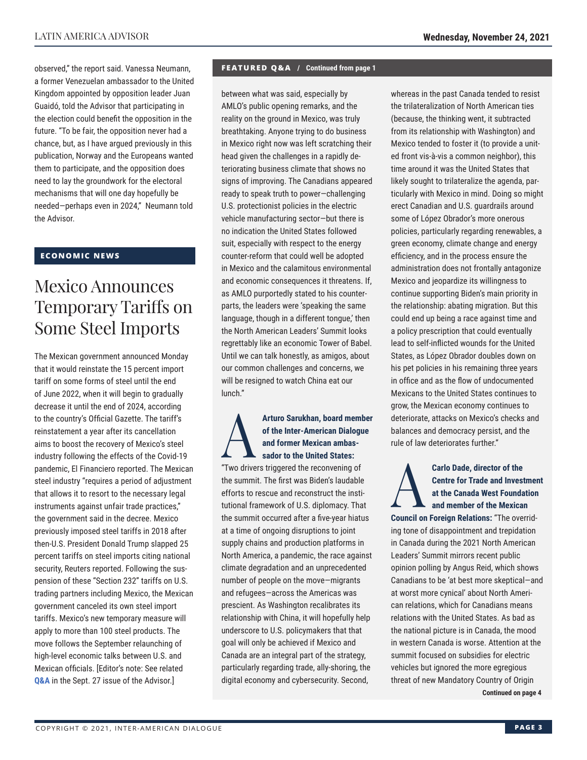observed," the report said. Vanessa Neumann, a former Venezuelan ambassador to the United Kingdom appointed by opposition leader Juan Guaidó, told the Advisor that participating in the election could benefit the opposition in the future. "To be fair, the opposition never had a chance, but, as I have argued previously in this publication, Norway and the Europeans wanted them to participate, and the opposition does need to lay the groundwork for the electoral mechanisms that will one day hopefully be needed—perhaps even in 2024," Neumann told the Advisor.

### **ECONOMIC NEWS**

# Mexico Announces Temporary Tariffs on Some Steel Imports

The Mexican government announced Monday that it would reinstate the 15 percent import tariff on some forms of steel until the end of June 2022, when it will begin to gradually decrease it until the end of 2024, according to the country's Official Gazette. The tariff's reinstatement a year after its cancellation aims to boost the recovery of Mexico's steel industry following the effects of the Covid-19 pandemic, El Financiero reported. The Mexican steel industry "requires a period of adjustment that allows it to resort to the necessary legal instruments against unfair trade practices," the government said in the decree. Mexico previously imposed steel tariffs in 2018 after then-U.S. President Donald Trump slapped 25 percent tariffs on steel imports citing national security, Reuters reported. Following the suspension of these "Section 232" tariffs on U.S. trading partners including Mexico, the Mexican government canceled its own steel import tariffs. Mexico's new temporary measure will apply to more than 100 steel products. The move follows the September relaunching of high-level economic talks between U.S. and Mexican officials. [Editor's note: See related **[Q&A](http://www.thedialogue.org/wp-content/uploads/2021/09/LAA210927.pdf)** in the Sept. 27 issue of the Advisor.]

### **FEATURED Q&A / Continued from page 1**

between what was said, especially by AMLO's public opening remarks, and the reality on the ground in Mexico, was truly breathtaking. Anyone trying to do business in Mexico right now was left scratching their head given the challenges in a rapidly deteriorating business climate that shows no signs of improving. The Canadians appeared ready to speak truth to power—challenging U.S. protectionist policies in the electric vehicle manufacturing sector—but there is no indication the United States followed suit, especially with respect to the energy counter-reform that could well be adopted in Mexico and the calamitous environmental and economic consequences it threatens. If, as AMLO purportedly stated to his counterparts, the leaders were 'speaking the same language, though in a different tongue,' then the North American Leaders' Summit looks regrettably like an economic Tower of Babel. Until we can talk honestly, as amigos, about our common challenges and concerns, we will be resigned to watch China eat our lunch."

### Arturo Sarukhan, board member<br>
of the Inter-American Dialogue<br>
and former Mexican ambas-<br>
sador to the United States:<br>
"Two drivers triggered the reconvening of **of the Inter-American Dialogue and former Mexican ambassador to the United States:**

"Two drivers triggered the reconvening of the summit. The first was Biden's laudable efforts to rescue and reconstruct the institutional framework of U.S. diplomacy. That the summit occurred after a five-year hiatus at a time of ongoing disruptions to joint supply chains and production platforms in North America, a pandemic, the race against climate degradation and an unprecedented number of people on the move—migrants and refugees—across the Americas was prescient. As Washington recalibrates its relationship with China, it will hopefully help underscore to U.S. policymakers that that goal will only be achieved if Mexico and Canada are an integral part of the strategy, particularly regarding trade, ally-shoring, the digital economy and cybersecurity. Second,

whereas in the past Canada tended to resist the trilateralization of North American ties (because, the thinking went, it subtracted from its relationship with Washington) and Mexico tended to foster it (to provide a united front vis-à-vis a common neighbor), this time around it was the United States that likely sought to trilateralize the agenda, particularly with Mexico in mind. Doing so might erect Canadian and U.S. guardrails around some of López Obrador's more onerous policies, particularly regarding renewables, a green economy, climate change and energy efficiency, and in the process ensure the administration does not frontally antagonize Mexico and jeopardize its willingness to continue supporting Biden's main priority in the relationship: abating migration. But this could end up being a race against time and a policy prescription that could eventually lead to self-inflicted wounds for the United States, as López Obrador doubles down on his pet policies in his remaining three years in office and as the flow of undocumented Mexicans to the United States continues to grow, the Mexican economy continues to deteriorate, attacks on Mexico's checks and balances and democracy persist, and the rule of law deteriorates further."

Carlo Dade, director of the<br>Centre for Trade and Invest<br>at the Canada West Founda<br>and member of the Mexical<br>Central on Foreign Belationa: "The over **Centre for Trade and Investment at the Canada West Foundation and member of the Mexican Council on Foreign Relations:** "The overriding tone of disappointment and trepidation in Canada during the 2021 North American Leaders' Summit mirrors recent public opinion polling by Angus Reid, which shows Canadians to be 'at best more skeptical—and at worst more cynical' about North American relations, which for Canadians means relations with the United States. As bad as the national picture is in Canada, the mood in western Canada is worse. Attention at the summit focused on subsidies for electric vehicles but ignored the more egregious threat of new Mandatory Country of Origin **Continued on page 4**